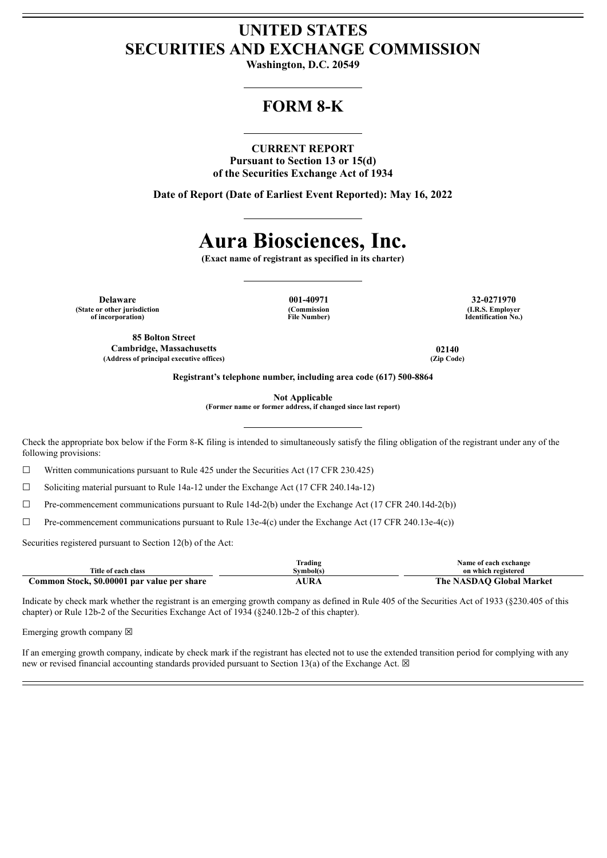## **UNITED STATES SECURITIES AND EXCHANGE COMMISSION**

**Washington, D.C. 20549**

## **FORM 8-K**

### **CURRENT REPORT**

**Pursuant to Section 13 or 15(d) of the Securities Exchange Act of 1934**

**Date of Report (Date of Earliest Event Reported): May 16, 2022**

# **Aura Biosciences, Inc.**

**(Exact name of registrant as specified in its charter)**

**Delaware 001-40971 32-0271970 (State or other jurisdiction of incorporation)**

**85 Bolton Street Cambridge, Massachusetts 02140 (Address of principal executive offices) (Zip Code)**

**(Commission File Number)**

**(I.R.S. Employer Identification No.)**

**Registrant's telephone number, including area code (617) 500-8864**

**Not Applicable**

**(Former name or former address, if changed since last report)**

Check the appropriate box below if the Form 8-K filing is intended to simultaneously satisfy the filing obligation of the registrant under any of the following provisions:

 $\Box$  Written communications pursuant to Rule 425 under the Securities Act (17 CFR 230.425)

☐ Soliciting material pursuant to Rule 14a-12 under the Exchange Act (17 CFR 240.14a-12)

 $\Box$  Pre-commencement communications pursuant to Rule 14d-2(b) under the Exchange Act (17 CFR 240.14d-2(b))

 $\Box$  Pre-commencement communications pursuant to Rule 13e-4(c) under the Exchange Act (17 CFR 240.13e-4(c))

Securities registered pursuant to Section 12(b) of the Act:

|                                             | 'rading  | Name of each exchange    |
|---------------------------------------------|----------|--------------------------|
| Fitle of each class                         | svmbol(s | on which registered      |
| Common Stock, \$0.00001 par value per share |          | The NASDAO Global Market |

Indicate by check mark whether the registrant is an emerging growth company as defined in Rule 405 of the Securities Act of 1933 (§230.405 of this chapter) or Rule 12b-2 of the Securities Exchange Act of 1934 (§240.12b-2 of this chapter).

Emerging growth company  $\boxtimes$ 

If an emerging growth company, indicate by check mark if the registrant has elected not to use the extended transition period for complying with any new or revised financial accounting standards provided pursuant to Section 13(a) of the Exchange Act.  $\boxtimes$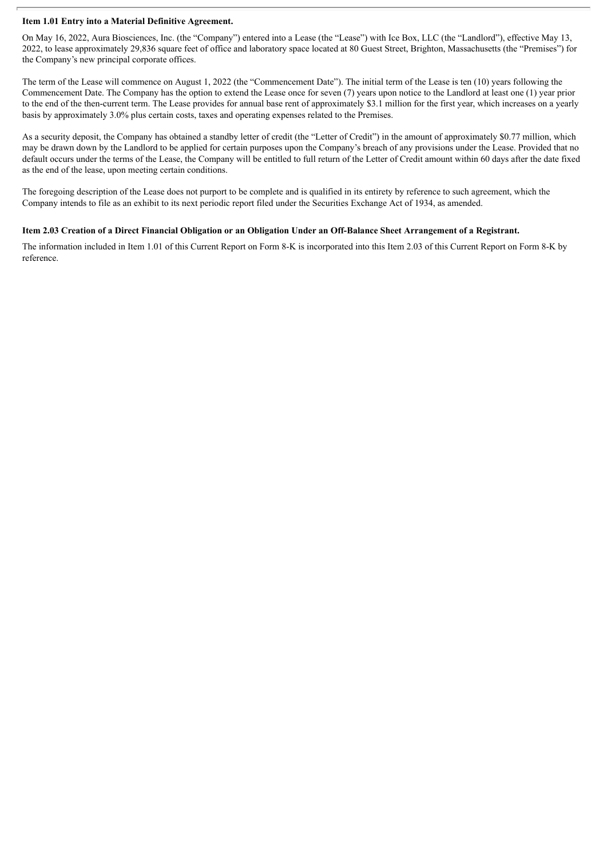### **Item 1.01 Entry into a Material Definitive Agreement.**

On May 16, 2022, Aura Biosciences, Inc. (the "Company") entered into a Lease (the "Lease") with Ice Box, LLC (the "Landlord"), effective May 13, 2022, to lease approximately 29,836 square feet of office and laboratory space located at 80 Guest Street, Brighton, Massachusetts (the "Premises") for the Company's new principal corporate offices.

The term of the Lease will commence on August 1, 2022 (the "Commencement Date"). The initial term of the Lease is ten (10) years following the Commencement Date. The Company has the option to extend the Lease once for seven (7) years upon notice to the Landlord at least one (1) year prior to the end of the then-current term. The Lease provides for annual base rent of approximately \$3.1 million for the first year, which increases on a yearly basis by approximately 3.0% plus certain costs, taxes and operating expenses related to the Premises.

As a security deposit, the Company has obtained a standby letter of credit (the "Letter of Credit") in the amount of approximately \$0.77 million, which may be drawn down by the Landlord to be applied for certain purposes upon the Company's breach of any provisions under the Lease. Provided that no default occurs under the terms of the Lease, the Company will be entitled to full return of the Letter of Credit amount within 60 days after the date fixed as the end of the lease, upon meeting certain conditions.

The foregoing description of the Lease does not purport to be complete and is qualified in its entirety by reference to such agreement, which the Company intends to file as an exhibit to its next periodic report filed under the Securities Exchange Act of 1934, as amended.

### Item 2.03 Creation of a Direct Financial Obligation or an Obligation Under an Off-Balance Sheet Arrangement of a Registrant.

The information included in Item 1.01 of this Current Report on Form 8-K is incorporated into this Item 2.03 of this Current Report on Form 8-K by reference.